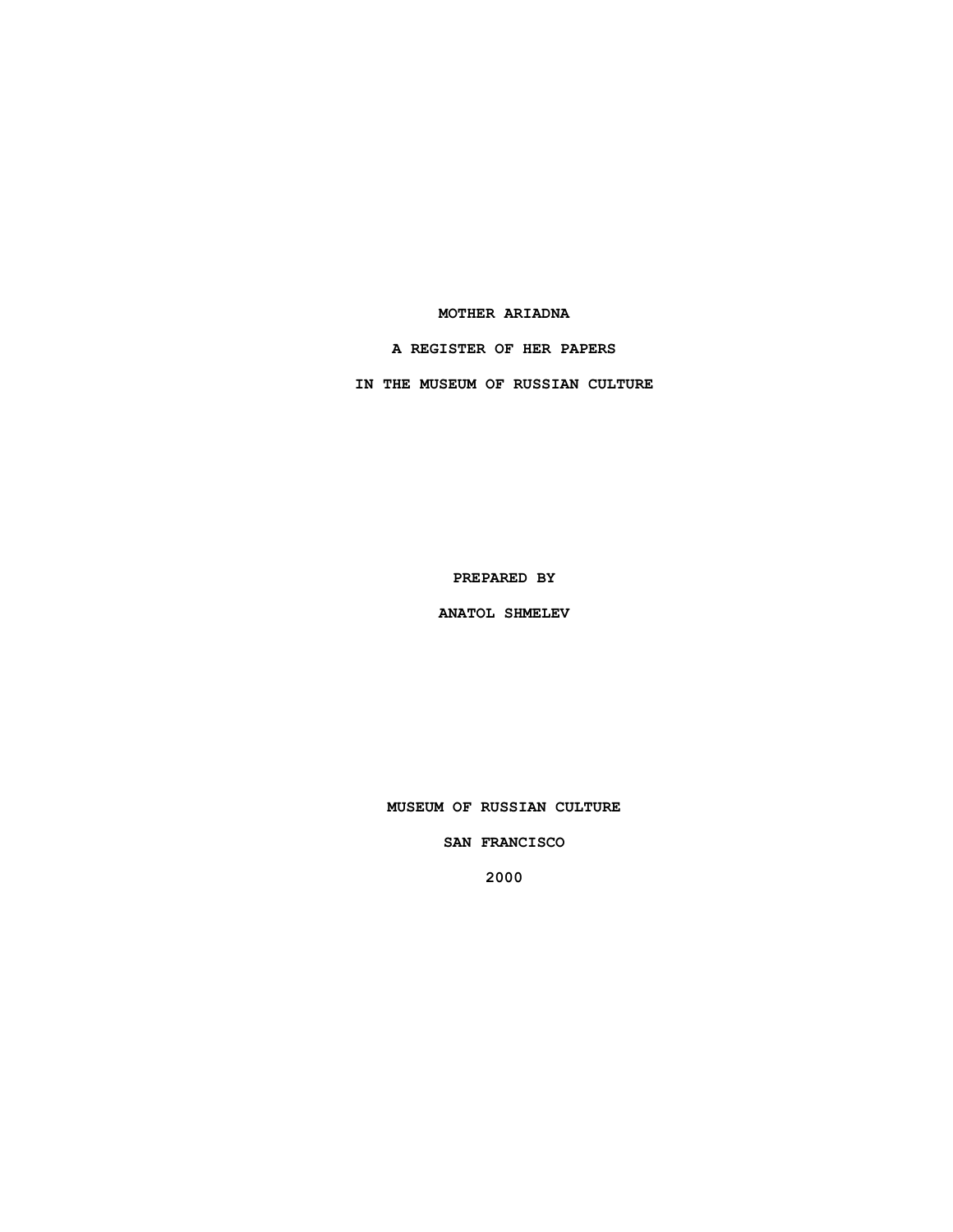## **MOTHER ARIADNA**

**A REGISTER OF HER PAPERS**

**IN THE MUSEUM OF RUSSIAN CULTURE**

**PREPARED BY**

**ANATOL SHMELEV**

**MUSEUM OF RUSSIAN CULTURE**

**SAN FRANCISCO**

**2000**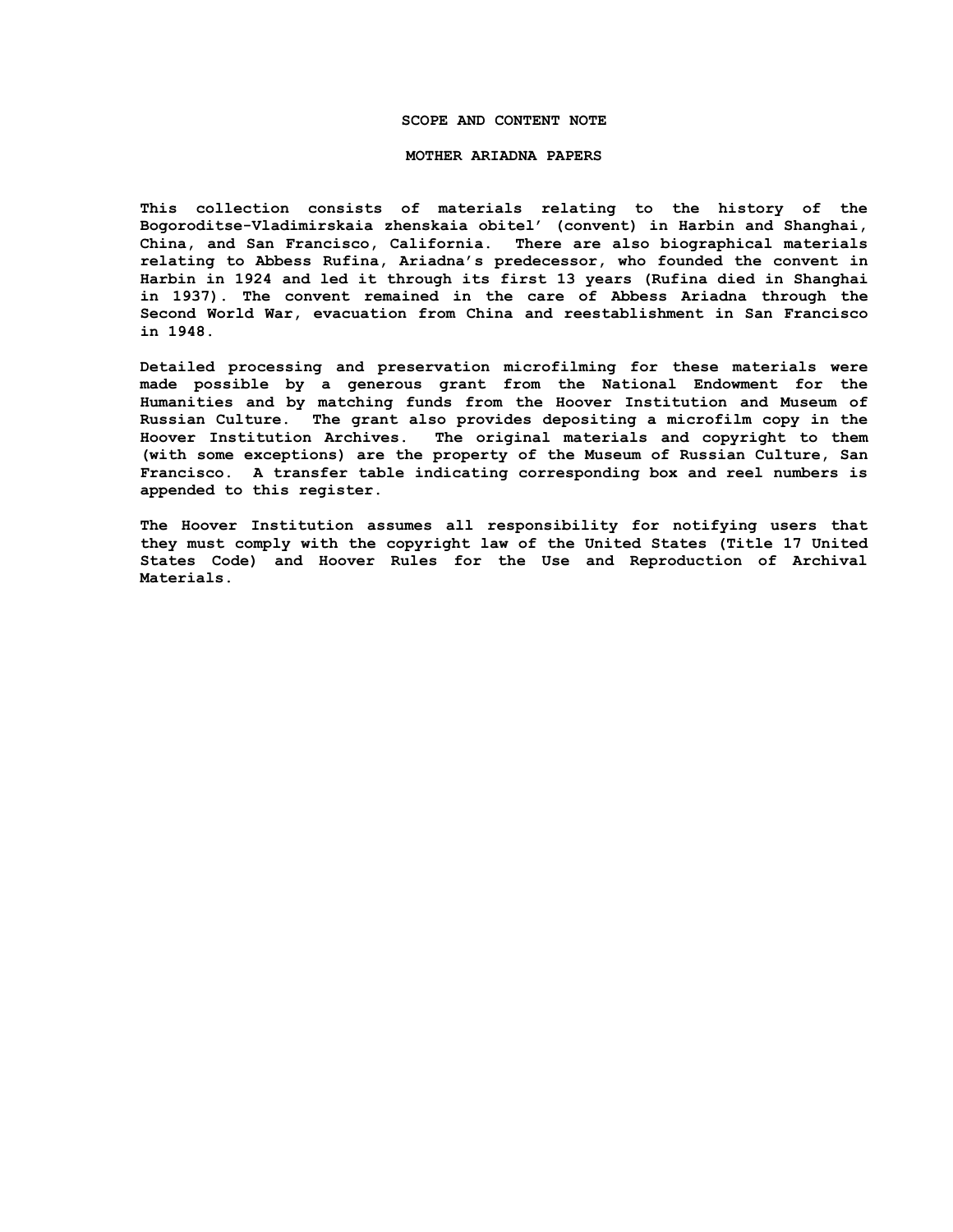#### **SCOPE AND CONTENT NOTE**

#### **MOTHER ARIADNA PAPERS**

**This collection consists of materials relating to the history of the Bogoroditse-Vladimirskaia zhenskaia obitel' (convent) in Harbin and Shanghai, China, and San Francisco, California. There are also biographical materials relating to Abbess Rufina, Ariadna's predecessor, who founded the convent in Harbin in 1924 and led it through its first 13 years (Rufina died in Shanghai in 1937). The convent remained in the care of Abbess Ariadna through the Second World War, evacuation from China and reestablishment in San Francisco in 1948.**

**Detailed processing and preservation microfilming for these materials were made possible by a generous grant from the National Endowment for the Humanities and by matching funds from the Hoover Institution and Museum of Russian Culture. The grant also provides depositing a microfilm copy in the Hoover Institution Archives. The original materials and copyright to them (with some exceptions) are the property of the Museum of Russian Culture, San Francisco. A transfer table indicating corresponding box and reel numbers is appended to this register.**

**The Hoover Institution assumes all responsibility for notifying users that they must comply with the copyright law of the United States (Title 17 United States Code) and Hoover Rules for the Use and Reproduction of Archival Materials.**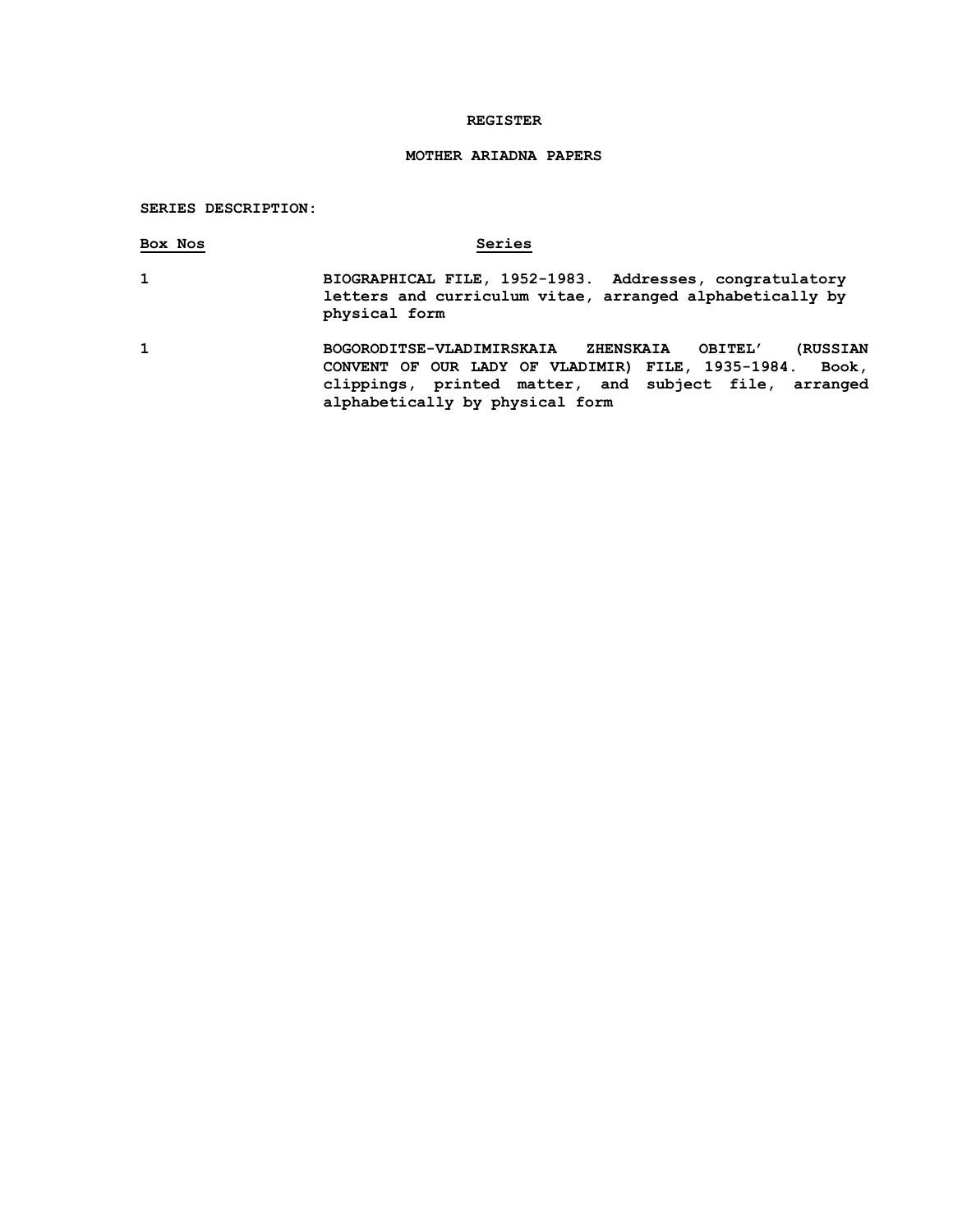## **REGISTER**

# **MOTHER ARIADNA PAPERS**

## **SERIES DESCRIPTION:**

| Box Nos | Series                                                                                                                                                                                                                                       |
|---------|----------------------------------------------------------------------------------------------------------------------------------------------------------------------------------------------------------------------------------------------|
| 1       | BIOGRAPHICAL FILE, 1952-1983. Addresses, congratulatory<br>letters and curriculum vitae, arranged alphabetically by<br>physical form                                                                                                         |
| 1       | <b>(RUSSIAN</b><br><b>BOGORODITSE-VLADIMIRSKAIA</b><br><b>ZHENSKAIA</b><br>OBITEL'<br>CONVENT OF OUR LADY OF VLADIMIR) FILE, 1935-1984.<br>Book,<br>clippings, printed matter, and subject file, arranged<br>alphabetically by physical form |